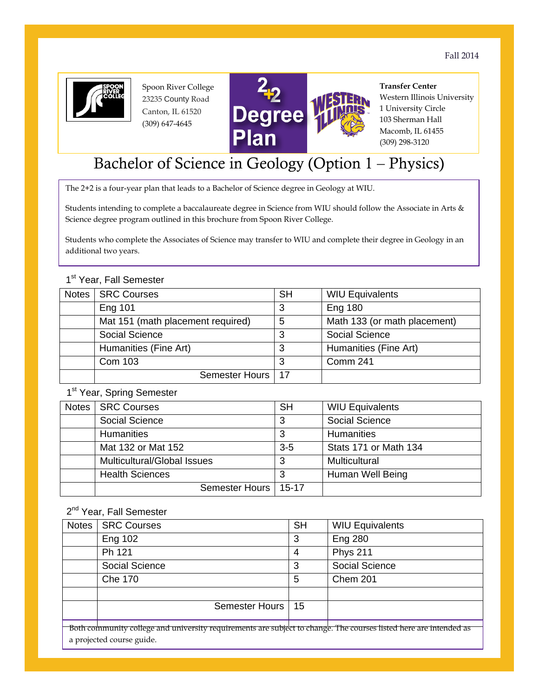

 Spoon River College 23235 County Road Canton, IL 61520 (309) 647‐4645



**Transfer Center**  Western Illinois University 1 University Circle 103 Sherman Hall Macomb, IL 61455 (309) 298-3120

# Bachelor of Science in Geology (Option 1 – Physics)

The 2+2 is a four-year plan that leads to a Bachelor of Science degree in Geology at WIU.

Students intending to complete a baccalaureate degree in Science from WIU should follow the Associate in Arts & Science degree program outlined in this brochure from Spoon River College.

Students who complete the Associates of Science may transfer to WIU and complete their degree in Geology in an additional two years.

#### 1<sup>st</sup> Year, Fall Semester

| Notes | <b>SRC Courses</b>                | <b>SH</b> | <b>WIU Equivalents</b>       |
|-------|-----------------------------------|-----------|------------------------------|
|       | <b>Eng 101</b>                    | 3         | <b>Eng 180</b>               |
|       | Mat 151 (math placement required) | 5         | Math 133 (or math placement) |
|       | <b>Social Science</b>             | 3         | <b>Social Science</b>        |
|       | Humanities (Fine Art)             | 3         | Humanities (Fine Art)        |
|       | Com 103                           | 3         | Comm 241                     |
|       | Semester Hours   17               |           |                              |

1st Year, Spring Semester

| Notes | <b>SRC Courses</b>                 | <b>SH</b> | <b>WIU Equivalents</b> |
|-------|------------------------------------|-----------|------------------------|
|       | Social Science                     | 3         | Social Science         |
|       | <b>Humanities</b>                  | 3         | <b>Humanities</b>      |
|       | Mat 132 or Mat 152                 | $3 - 5$   | Stats 171 or Math 134  |
|       | <b>Multicultural/Global Issues</b> | 3         | <b>Multicultural</b>   |
|       | <b>Health Sciences</b>             |           | Human Well Being       |
|       | Semester Hours   15-17             |           |                        |

2<sup>nd</sup> Year, Fall Semester

| Notes                                                                                                                                          | <b>SRC Courses</b>  | <b>SH</b> | <b>WIU Equivalents</b> |
|------------------------------------------------------------------------------------------------------------------------------------------------|---------------------|-----------|------------------------|
|                                                                                                                                                | <b>Eng 102</b>      | 3         | <b>Eng 280</b>         |
|                                                                                                                                                | Ph 121              | 4         | <b>Phys 211</b>        |
|                                                                                                                                                | Social Science      | 3         | <b>Social Science</b>  |
|                                                                                                                                                | <b>Che 170</b>      | 5         | Chem 201               |
|                                                                                                                                                |                     |           |                        |
|                                                                                                                                                | Semester Hours   15 |           |                        |
|                                                                                                                                                |                     |           |                        |
| Both community college and university requirements are subject to change. The courses listed here are intended as<br>a wwaigata da anyon anida |                     |           |                        |

a projected course guide.